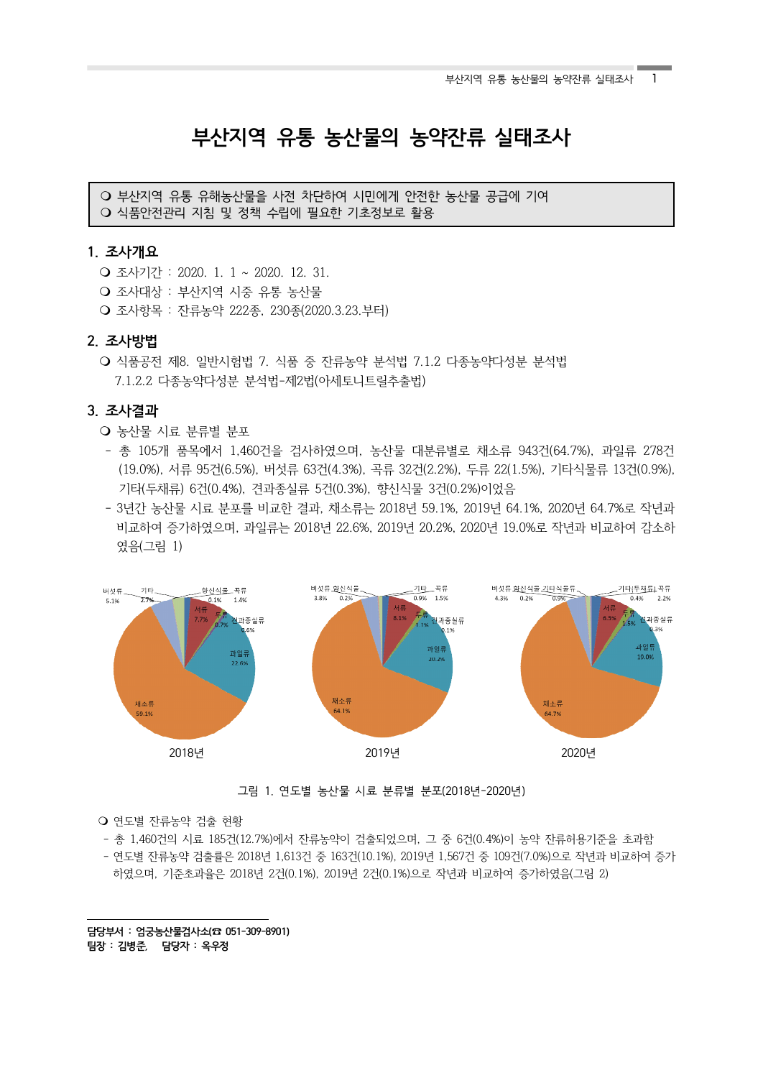# **부산지역 유통 농산물의 농약잔류 실태조사**

○ 부산지역 유통 유해농산물을 사전 차단하여 시민에게 안전한 농산물 공급에 기여 ○ 식품안전관리 지침 및 정책 수립에 필요한 기초정보로 활용

## **1. 조사개요1)**

- 조사기간 : 2020. 1. 1 ~ 2020. 12. 31.
- Q 조사대상 : 부산지역 시중 유통 농산물
- m 조사항목 : 잔류농약 222종, 230종(2020.3.23.부터)

# **2. 조사방법**

○ 식품공전 제8. 일반시험법 7. 식품 중 잔류농약 분석법 7.1.2 다종농약다성분 분석법 7.1.2.2 다종농약다성분 분석법-제2법(아세토니트릴추출법)

# **3. 조사결과**

- 농산물 시료 분류별 분포
- 총 105개 품목에서 1,460건을 검사하였으며, 농산물 대분류별로 채소류 943건(64.7%), 과일류 278건 (19.0%), 서류 95건(6.5%), 버섯류 63건(4.3%), 곡류 32건(2.2%), 두류 22(1.5%), 기타식물류 13건(0.9%), 기타(두채류) 6건(0.4%), 견과종실류 5건(0.3%), 향신식물 3건(0.2%)이었음
- 3년간 농산물 시료 분포를 비교한 결과, 채소류는 2018년 59.1%, 2019년 64.1%, 2020년 64.7%로 작년과 비교하여 증가하였으며, 과일류는 2018년 22.6%, 2019년 20.2%, 2020년 19.0%로 작년과 비교하여 감소하 였음(그림 1)



그림 1. 연도별 농산물 시료 분류별 분포(2018년-2020년)

#### ○ 연도별 잔류농약 검출 현황

- 총 1,460건의 시료 185건(12.7%)에서 잔류농약이 검출되었으며, 그 중 6건(0.4%)이 농약 잔류허용기준을 초과함

 - 연도별 잔류농약 검출률은 2018년 1,613건 중 163건(10.1%), 2019년 1,567건 중 109건(7.0%)으로 작년과 비교하여 증가 하였으며, 기준초과율은 2018년 2건(0.1%), 2019년 2건(0.1%)으로 작년과 비교하여 증가하였음(그림 2)

**담당부서 : 엄궁농산물검사소(☎ 051-309-8901) 팀장 : 김병준, 담당자 : 옥우정**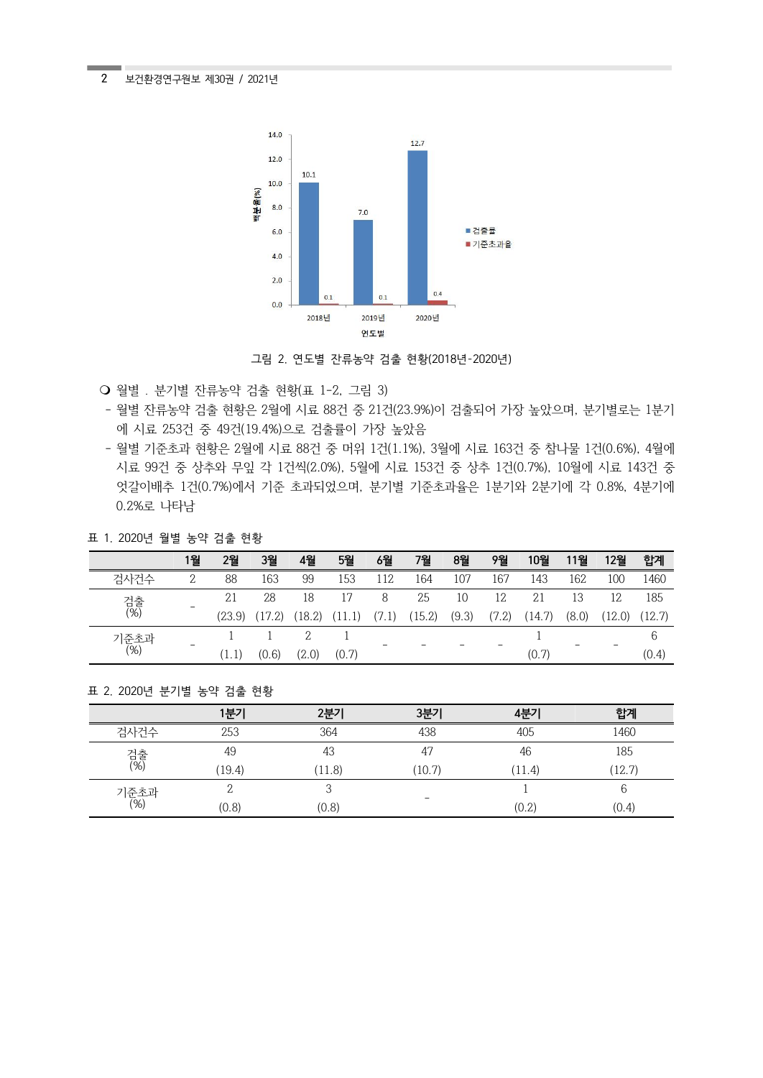2 보건환경연구원보 제30권 / 2021년



그림 2. 연도별 잔류농약 검출 현황(2018년-2020년)

- 월별 . 분기별 잔류농약 검출 현황(표 1-2, 그림 3)
- 월별 잔류농약 검출 현황은 2월에 시료 88건 중 21건(23.9%)이 검출되어 가장 높았으며, 분기별로는 1분기 에 시료 253건 중 49건(19.4%)으로 검출률이 가장 높았음
- 월별 기준초과 현황은 2월에 시료 88건 중 머위 1건(1.1%), 3월에 시료 163건 중 참나물 1건(0.6%), 4월에 시료 99건 중 상추와 무잎 각 1건씩(2.0%), 5월에 시료 153건 중 상추 1건(0.7%), 10월에 시료 143건 중 엇갈이배추 1건(0.7%)에서 기준 초과되었으며, 분기별 기준초과율은 1분기와 2분기에 각 0.8%, 4분기에 0.2%로 나타남

# 표 1. 2020년 월별 농약 검출 현황

|             | 1월                       | 2월     | 3월     | 4월     | 5월    | 6월    | 7월     | 8월    | 9월    | 10월    | 11월   | 12월    | 합계     |
|-------------|--------------------------|--------|--------|--------|-------|-------|--------|-------|-------|--------|-------|--------|--------|
| 검사건수        | 2                        | 88     | 163    | 99     | 153   | 112   | 164    | 107   | 167   | 143    | 162   | 100    | 1460   |
| 검출<br>(%)   |                          | 21     | 28     | 18     | 17    | 8     | 25     | 10    | 12    | 21     | 13    | 12     | 185    |
|             | $\overline{\phantom{a}}$ | (23.9) | (17.2) | (18.2) |       | (7.1) | (15.2) | (9.3) | (7.2) | (14.7) | (8.0) | (12.0) | (12.7) |
| 기준초과<br>(%) |                          |        |        |        |       |       |        |       |       |        |       |        | b      |
|             | $\qquad \qquad =$        | (1,1)  | (0.6)  | (2.0)  | (0.7) |       |        |       |       | (0.7)  |       |        | (0.4)  |

## 표 2. 2020년 분기별 농약 검출 현황

|             | 1분기    | 2분기    | 3분기                      | 4부기    | 합계     |
|-------------|--------|--------|--------------------------|--------|--------|
| 검사건수        | 253    | 364    | 438                      | 405    | 1460   |
|             | 49     | 43     | 47                       | 46     | 185    |
| 검출<br>(%)   | (19.4) | (11.8) | (10.7)                   | (11.4) | (12.7) |
| 기준초과<br>(%) |        |        |                          |        |        |
|             | (0.8)  | (0.8)  | $\overline{\phantom{0}}$ | (0.2)  | (0.4)  |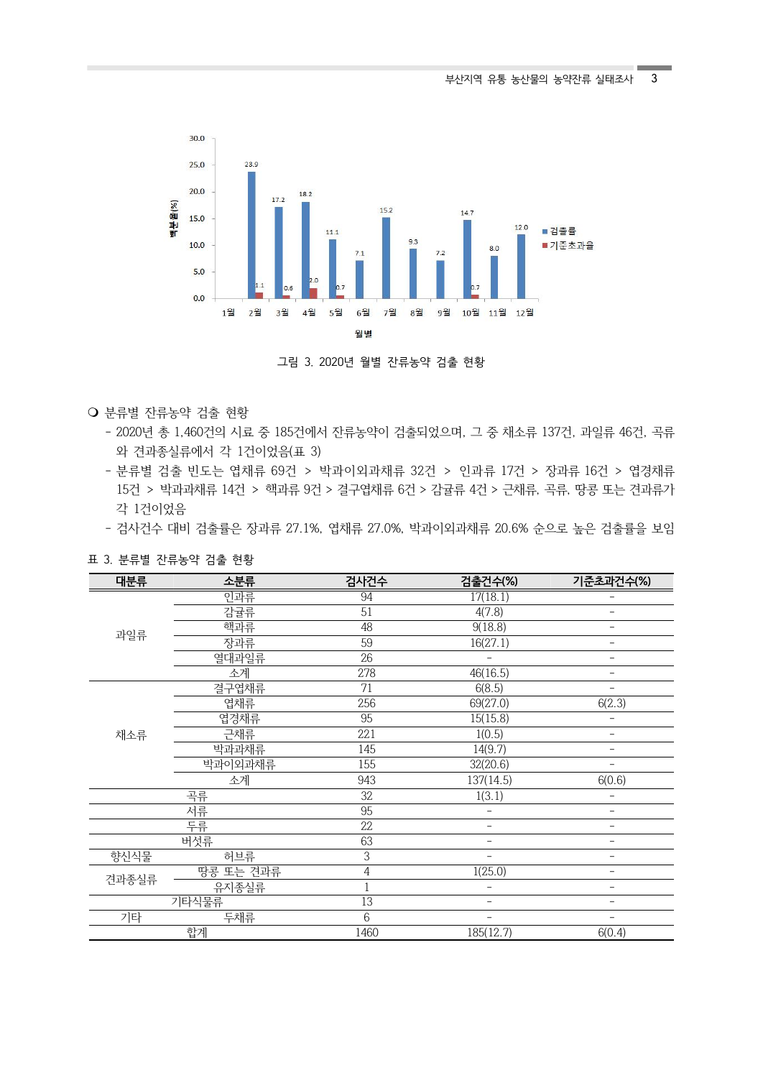

그림 3. 2020년 월별 잔류농약 검출 현황

- m 분류별 잔류농약 검출 현황
	- 2020년 총 1,460건의 시료 중 185건에서 잔류농약이 검출되었으며, 그 중 채소류 137건, 과일류 46건, 곡류 와 견과종실류에서 각 1건이었음(표 3)
	- 분류별 검출 빈도는 엽채류 69건 > 박과이외과채류 32건 > 인과류 17건 > 장과류 16건 > 엽경채류 15건 > 박과과채류 14건 > 핵과류 9건 > 결구엽채류 6건 > 감귤류 4건 > 근채류, 곡류, 땅콩 또는 견과류가 각 1건이었음
	- 검사건수 대비 검출률은 장과류 27.1%, 엽채류 27.0%, 박과이외과채류 20.6% 순으로 높은 검출률을 보임

| 대분류   | 소분류       | 검사건수         | 검출건수(%)                  | 기준초과건수(%)                |  |
|-------|-----------|--------------|--------------------------|--------------------------|--|
|       | 인과류       | 94           | 17(18.1)                 |                          |  |
|       | 감귤류       | 51           | 4(7.8)                   | $\overline{a}$           |  |
|       | 핵과류       | 48           | 9(18.8)                  | $\overline{\phantom{0}}$ |  |
| 과일류   | 장과류       | 59           | 16(27.1)                 | $\overline{a}$           |  |
|       | 열대과일류     | 26           |                          | $\overline{a}$           |  |
|       | 소계        | 278          | 46(16.5)                 | $\overline{a}$           |  |
|       | 결구엽채류     | 71           | 6(8.5)                   |                          |  |
|       | 엽채류       | 256          | 69(27.0)                 | 6(2.3)                   |  |
|       | 엽경채류      | 95           | 15(15.8)                 |                          |  |
| 채소류   | 근채류       | 221          | 1(0.5)                   | $\overline{a}$           |  |
|       | 박과과채류     | 145          | 14(9.7)                  | $\qquad \qquad -$        |  |
|       | 박과이외과채류   | 155          | 32(20.6)                 |                          |  |
|       | 소계        | 943          | 137(14.5)                | 6(0.6)                   |  |
|       | 곡류        | 32           | 1(3.1)                   | $\overline{\phantom{0}}$ |  |
|       | 서류        | 95           |                          |                          |  |
|       | 투류        | 22           |                          |                          |  |
|       | 버섯류       | 63           |                          |                          |  |
| 향신식물  | 허브류       | 3            | ÷,                       | $\overline{a}$           |  |
| 견과종실류 | 땅콩 또는 견과류 | 4            | 1(25.0)                  | $\overline{\phantom{0}}$ |  |
|       | 유지종실류     | $\mathbf{1}$ |                          | $\overline{a}$           |  |
|       | 기타식물류     | 13           | $\overline{a}$           | $\overline{a}$           |  |
| 기타    | 두채류       | 6            | $\overline{\phantom{0}}$ | $\overline{a}$           |  |
|       | 합계        | 1460         | 185(12.7)                | 6(0.4)                   |  |

표 3. 분류별 잔류농약 검출 현황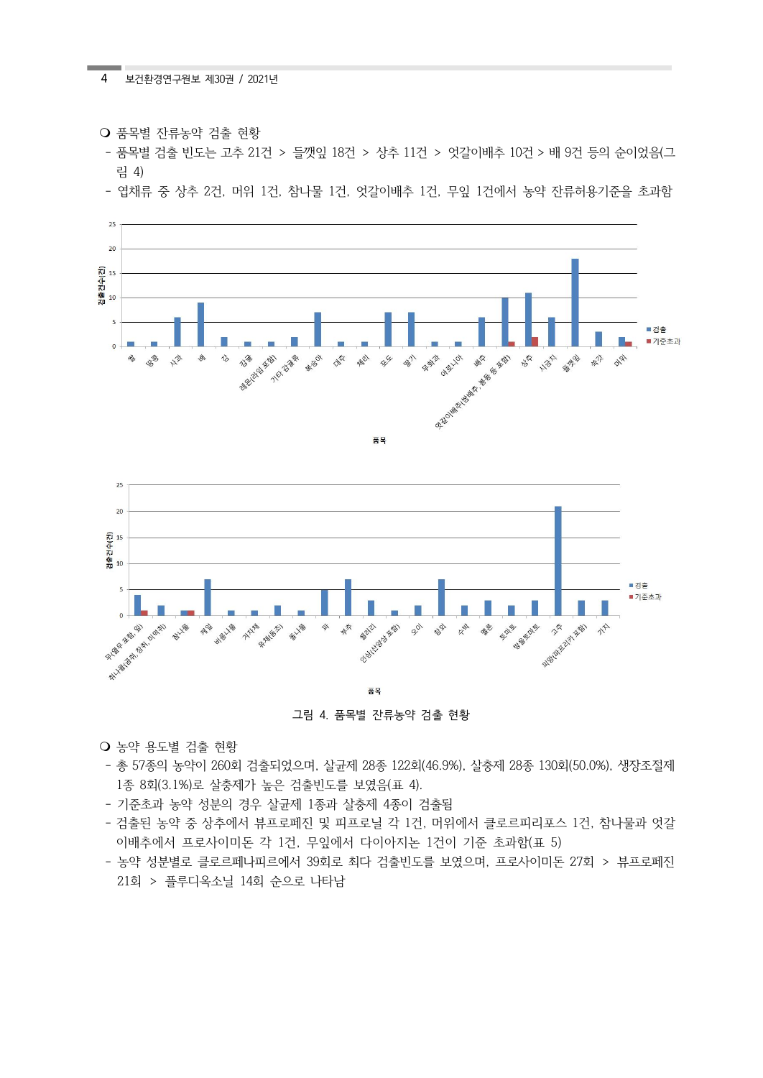- **O** 품목별 자류농약 검출 현황
- 품목별 검출 빈도는 고추 21건 > 들깻잎 18건 > 상추 11건 > 엇갈이배추 10건 > 배 9건 등의 순이었음(그 림 4)
- 엽채류 중 상추 2건, 머위 1건, 참나물 1건, 엇갈이배추 1건, 무잎 1건에서 농약 잔류허용기준을 초과함







그림 4. 품목별 잔류농약 검출 현황

○ 농약 용도별 검출 현황

- 총 57종의 농약이 260회 검출되었으며, 살균제 28종 122회(46.9%), 살충제 28종 130회(50.0%), 생장조절제 1종 8회(3.1%)로 살충제가 높은 검출빈도를 보였음(표 4).
- 기준초과 농약 성분의 경우 살균제 1종과 살충제 4종이 검출됨
- 검출된 농약 중 상추에서 뷰프로페진 및 피프로닐 각 1건, 머위에서 클로르피리포스 1건, 참나물과 엇갈 이배추에서 프로사이미돈 각 1건, 무잎에서 다이아지논 1건이 기준 초과함(표 5)
- 농약 성분별로 클로르페나피르에서 39회로 최다 검출빈도를 보였으며, 프로사이미돈 27회 > 뷰프로페진 21회 > 플루디옥소닐 14회 순으로 나타남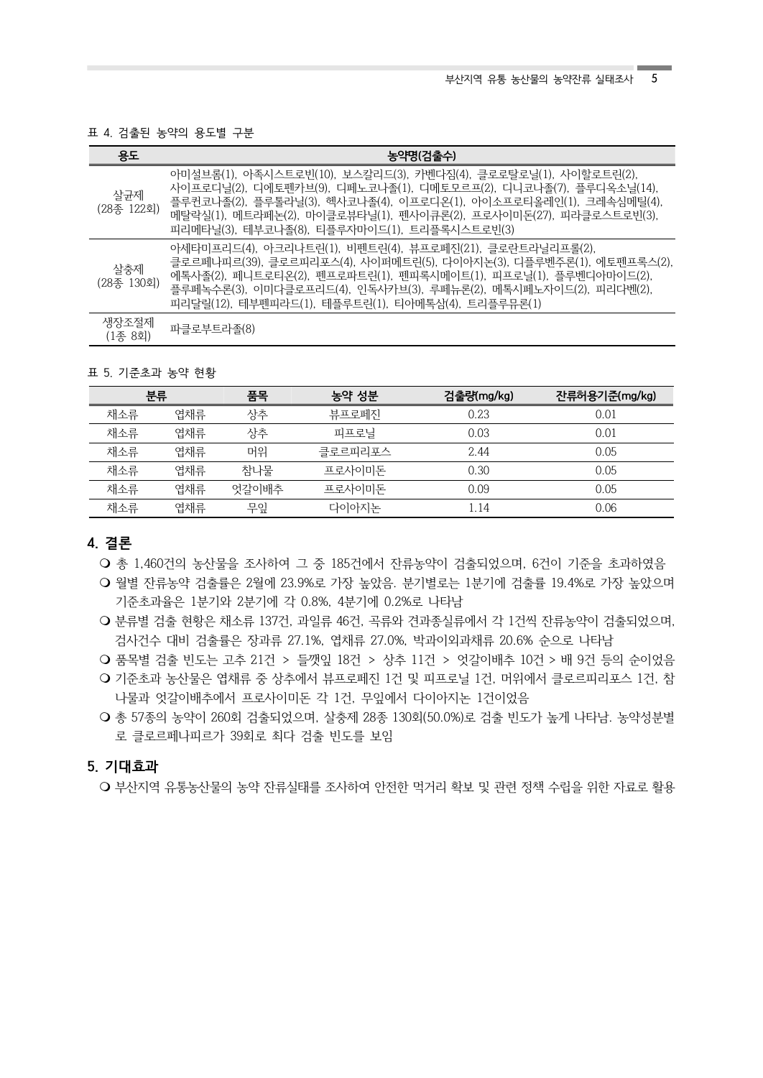#### 표 4. 검출된 농약의 용도별 구분

| 용도                | 농약명(검출수)                                                                                                                                                                                                                                                                                                                       |
|-------------------|--------------------------------------------------------------------------------------------------------------------------------------------------------------------------------------------------------------------------------------------------------------------------------------------------------------------------------|
| 살균제<br>(28종 122회) | 아미설브롬(1), 아족시스트로빈(10), 보스칼리드(3), 카벤다짐(4), 클로로탈로닐(1), 사이할로트린(2),<br>사이프로디닐(2), 디에토펜카브(9), 디페노코나졸(1), 디메토모르프(2), 디니코나졸(7), 플루디옥소닐(14),<br>플루퀸코나졸(2), 플루톨라닐(3), 헥사코나졸(4), 이프로디온(1), 아이소프로티올레인(1), 크레속심메틸(4),<br>메탈락실(1), 메트라페논(2), 마이클로뷰타닐(1), 펜사이큐론(2), 프로사이미돈(27), 피라클로스트로빈(3),<br>피리메타닐(3), 테부코나졸(8), 티플루자마이드(1), 트리플록시스트로빈(3) |
| 살충제<br>(28종 130회) | 아세타미프리드(4), 아크리나트린(1), 비펜트린(4), 뷰프로페진(21), 클로란트라닐리프롤(2),<br>클로르페나피르(39), 클로르피리포스(4), 사이퍼메트린(5), 다이아지논(3), 디플루벤주론(1), 에토펜프록스(2),<br>에톡사졸(2), 페니트로티온(2), 펜프로파트린(1), 펜피록시메이트(1), 피프로닐(1), 플루벤디아마이드(2),<br>플루페녹수론(3), 이미다클로프리드(4), 인독사카브(3), 루페뉴론(2), 메톡시페노자이드(2), 피리다벤(2),<br>피리달릴(12), 테부펜피라드(1), 테플루트린(1), 티아메톡삼(4), 트리플루뮤론(1)  |
| 생장조절제<br>(1종 8회)  | 파클로부트라졸(8)                                                                                                                                                                                                                                                                                                                     |

#### 표 5. 기준초과 농약 현황

| 분류  |     | 품목    | 농약 성분   | 검출량(mg/kg) | 잔류허용기준(mg/kg) |  |
|-----|-----|-------|---------|------------|---------------|--|
| 채소류 | 엽채류 | 상추    | 뷰프로페진   | 0.23       | 0.01          |  |
| 채소류 | 엽채류 | 상추    | 피프로닐    | 0.03       | 0.01          |  |
| 채소류 | 엽채류 | 머위    | 클로르피리포스 | 2.44       | 0.05          |  |
| 채소류 | 엽채류 | 참나물   | 프로사이미돈  | 0.30       | 0.05          |  |
| 채소류 | 엽채류 | 엇갈이배추 | 프로사이미돈  | 0.09       | 0.05          |  |
| 채소류 | 엽채류 | 무잎    | 다이아지논   | 1.14       | 0.06          |  |

## **4. 결론**

○ 총 1,460건의 농산물을 조사하여 그 중 185건에서 잔류농약이 검출되었으며, 6건이 기준을 초과하였음

- 월별 잔류농약 검출률은 2월에 23.9%로 가장 높았음. 분기별로는 1분기에 검출률 19.4%로 가장 높았으며 기준초과율은 1분기와 2분기에 각 0.8%, 4분기에 0.2%로 나타남
- O 분류별 검출 현황은 채소류 137건, 과일류 46건, 곡류와 견과종실류에서 각 1건씩 잔류농약이 검출되었으며,<br>검사건수 대비 검<del>출률</del>은 장과류 27.1%, 엽채류 27.0%, 박과이외과채류 20.6% 순으로 나타남
- m 품목별 검출 빈도는 고추 21건 > 들깻잎 18건 > 상추 11건 > 엇갈이배추 10건 > 배 9건 등의 순이었음
- 기준초과 농산물은 엽채류 중 상추에서 뷰프로페진 1건 및 피프로닐 1건, 머위에서 클로르피리포스 1건, 참 나물과 엇갈이배추에서 프로사이미돈 각 1건, 무잎에서 다이아지논 1건이었음
- m 총 57종의 농약이 260회 검출되었으며, 살충제 28종 130회(50.0%)로 검출 빈도가 높게 나타남. 농약성분별 로 클로르페나피르가 39회로 최다 검출 빈도를 보임

## **5. 기대효과**

○ 부산지역 유통농산물의 농약 잔류실태를 조사하여 안전한 먹거리 확보 및 관련 정책 수립을 위한 자료로 활용